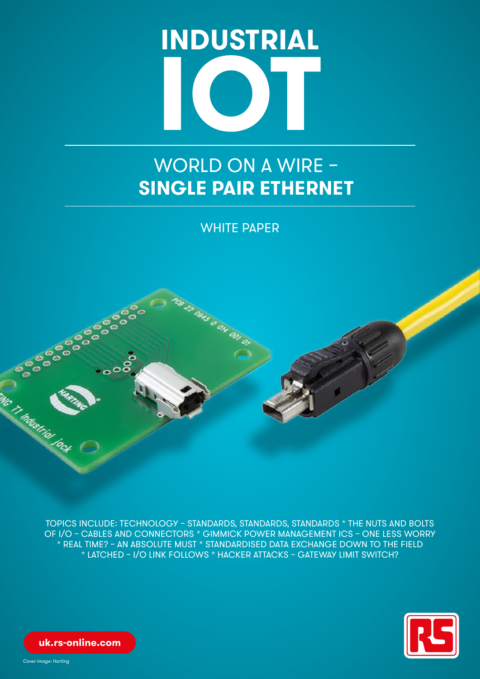

# WORLD ON A WIRE – **SINGLE PAIR ETHERNET**

WHITE PAPER



TOPICS INCLUDE: TECHNOLOGY – STANDARDS, STANDARDS, STANDARDS \* THE NUTS AND BOLTS OF I/O – CABLES AND CONNECTORS \* GIMMICK POWER MANAGEMENT ICS – ONE LESS WORRY \* REAL TIME? – AN ABSOLUTE MUST \* STANDARDISED DATA EXCHANGE DOWN TO THE FIELD \* LATCHED – I/O LINK FOLLOWS \* HACKER ATTACKS – GATEWAY LIMIT SWITCH?



**uk.rs-online.com**

*Cover image: Harting*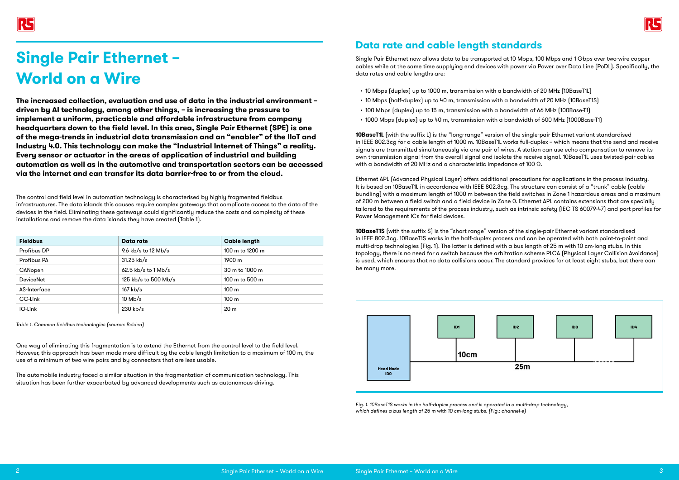

The control and field level in automation technology is characterised by highly fragmented fieldbus infrastructures. The data islands this causes require complex gateways that complicate access to the data of the devices in the field. Eliminating these gateways could significantly reduce the costs and complexity of these installations and remove the data islands they have created (Table 1).

One way of eliminating this fragmentation is to extend the Ethernet from the control level to the field level. However, this approach has been made more difficult by the cable length limitation to a maximum of 100 m, the use of a minimum of two wire pairs and by connectors that are less usable.

The automobile industry faced a similar situation in the fragmentation of communication technology. This situation has been further exacerbated by advanced developments such as autonomous driving.

## **Data rate and cable length standards**

**10BaseT1L** (with the suffix L) is the "long-range" version of the single-pair Ethernet variant standardised in IEEE 802.3cg for a cable length of 1000 m. 10BaseT1L works full-duplex – which means that the send and receive signals are transmitted simultaneously via one pair of wires. A station can use echo compensation to remove its own transmission signal from the overall signal and isolate the receive signal. 10BaseT1L uses twisted-pair cables with a bandwidth of 20 MHz and a characteristic impedance of 100 Ω.

Single Pair Ethernet now allows data to be transported at 10 Mbps, 100 Mbps and 1 Gbps over two-wire copper cables while at the same time supplying end devices with power via Power over Data Line (PoDL). Specifically, the data rates and cable lengths are:

- 10 Mbps (duplex) up to 1000 m, transmission with a bandwidth of 20 MHz (10BaseT1L) • 10 Mbps (half-duplex) up to 40 m, transmission with a bandwidth of 20 MHz (10BaseT1S) • 100 Mbps (duplex) up to 15 m, transmission with a bandwidth of 66 MHz (100Base-T1)
- 
- 
- 1000 Mbps (duplex) up to 40 m, transmission with a bandwidth of 600 MHz (1000Base-T1)

Ethernet APL (Advanced Physical Layer) offers additional precautions for applications in the process industry. It is based on 10BaseT1L in accordance with IEEE 802.3cg. The structure can consist of a "trunk" cable (cable bundling) with a maximum length of 1000 m between the field switches in Zone 1 hazardous areas and a maximum of 200 m between a field switch and a field device in Zone 0. Ethernet APL contains extensions that are specially tailored to the requirements of the process industry, such as intrinsic safety (IEC TS 60079-47) and port profiles for Power Management ICs for field devices.

**10BaseT1S** (with the suffix S) is the "short range" version of the single-pair Ethernet variant standardised in IEEE 802.3cg. 10BaseT1S works in the half-duplex process and can be operated with both point-to-point and multi-drop technologies (Fig. 1). The latter is defined with a bus length of 25 m with 10 cm-long stubs. In this topology, there is no need for a switch because the arbitration scheme PLCA (Physical Layer Collision Avoidance) is used, which ensures that no data collisions occur. The standard provides for at least eight stubs, but there can be many more.

# **Single Pair Ethernet – World on a Wire**

**The increased collection, evaluation and use of data in the industrial environment – driven by AI technology, among other things, – is increasing the pressure to implement a uniform, practicable and affordable infrastructure from company headquarters down to the field level. In this area, Single Pair Ethernet (SPE) is one of the mega-trends in industrial data transmission and an "enabler" of the IIoT and Industry 4.0. This technology can make the "Industrial Internet of Things" a reality. Every sensor or actuator in the areas of application of industrial and building automation as well as in the automotive and transportation sectors can be accessed via the internet and can transfer its data barrier-free to or from the cloud.**

| <b>Fieldbus</b>  | Data rate             | <b>Cable length</b> |  |  |
|------------------|-----------------------|---------------------|--|--|
| Profibus DP      | 9.6 kb/s to 12 Mb/s   | 100 m to 1200 m     |  |  |
| Profibus PA      | 31.25 kb/s            | 1900 m              |  |  |
| CANopen          | $62.5$ kb/s to 1 Mb/s | 30 m to 1000 m      |  |  |
| <b>DeviceNet</b> | 125 kb/s to 500 Mb/s  | 100 m to 500 m      |  |  |
| AS-Interface     | $167$ kb/s            | 100 <sub>m</sub>    |  |  |
| CC-Link          | $10$ Mb/s             | 100 <sub>m</sub>    |  |  |
| IO-Link          | 230 kb/s              | 20 <sub>m</sub>     |  |  |

*Table 1. Common fieldbus technologies (source: Belden)*

*Fig. 1. 10BaseT1S works in the half-duplex process and is operated in a multi-drop technology, which defines a bus length of 25 m with 10 cm-long stubs. (Fig.: channel-e)*

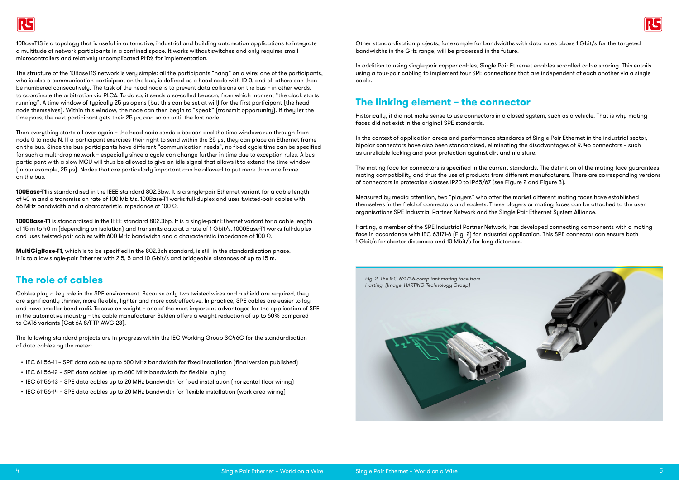



10BaseT1S is a topology that is useful in automotive, industrial and building automation applications to integrate a multitude of network participants in a confined space. It works without switches and only requires small microcontrollers and relatively uncomplicated PHYs for implementation.

The structure of the 10BaseT1S network is very simple: all the participants "hang" on a wire; one of the participants, who is also a communication participant on the bus, is defined as a head node with ID 0, and all others can then be numbered consecutively. The task of the head node is to prevent data collisions on the bus – in other words, to coordinate the arbitration via PLCA. To do so, it sends a so-called beacon, from which moment "the clock starts running". A time window of typically 25 μs opens (but this can be set at will) for the first participant (the head node themselves). Within this window, the node can then begin to "speak" (transmit opportunity). If they let the time pass, the next participant gets their 25 μs, and so on until the last node.

Then everything starts all over again – the head node sends a beacon and the time windows run through from node 0 to node N. If a participant exercises their right to send within the 25 μs, they can place an Ethernet frame on the bus. Since the bus participants have different "communication needs", no fixed cucle time can be specified for such a multi-drop network – especially since a cycle can change further in time due to exception rules. A bus participant with a slow MCU will thus be allowed to give an idle signal that allows it to extend the time window (in our example, 25 μs). Nodes that are particularly important can be allowed to put more than one frame on the bus.

**100Base-T1** is standardised in the IEEE standard 802.3bw. It is a single-pair Ethernet variant for a cable length of 40 m and a transmission rate of 100 Mbit/s. 100Base-T1 works full-duplex and uses twisted-pair cables with 66 MHz bandwidth and a characteristic impedance of 100 Ω.

**1000Base-T1** is standardised in the IEEE standard 802.3bp. It is a single-pair Ethernet variant for a cable length of 15 m to 40 m (depending on isolation) and transmits data at a rate of 1 Gbit/s. 1000Base-T1 works full-duplex and uses twisted-pair cables with 600 MHz bandwidth and a characteristic impedance of 100 Ω.

**MultiGigBase-T1**, which is to be specified in the 802.3ch standard, is still in the standardisation phase. It is to allow single-pair Ethernet with 2.5, 5 and 10 Gbit/s and bridgeable distances of up to 15 m.

### **The role of cables**

Cables play a key role in the SPE environment. Because only two twisted wires and a shield are required, they are significantly thinner, more flexible, lighter and more cost-effective. In practice, SPE cables are easier to lay and have smaller bend radii. To save on weight – one of the most important advantages for the application of SPE in the automotive industry – the cable manufacturer Belden offers a weight reduction of up to 60% compared to CAT6 variants (Cat 6A S/FTP AWG 23).

The following standard projects are in progress within the IEC Working Group SC46C for the standardisation of data cables by the meter:

- IEC 61156-11 SPE data cables up to 600 MHz bandwidth for fixed installation (final version published)
- IEC 61156-12 SPE data cables up to 600 MHz bandwidth for flexible laying
- IEC 61156-13 SPE data cables up to 20 MHz bandwidth for fixed installation (horizontal floor wiring)
- IEC 61156-14 SPE data cables up to 20 MHz bandwidth for flexible installation (work area wiring)

Other standardisation projects, for example for bandwidths with data rates above 1 Gbit/s for the targeted bandwidths in the GHz range, will be processed in the future.

In addition to using single-pair copper cables, Single Pair Ethernet enables so-called cable sharing. This entails using a four-pair cabling to implement four SPE connections that are independent of each another via a single cable.

### **The linking element – the connector**

Historically, it did not make sense to use connectors in a closed system, such as a vehicle. That is why mating faces did not exist in the original SPE standards.

In the context of application areas and performance standards of Single Pair Ethernet in the industrial sector, bipolar connectors have also been standardised, eliminating the disadvantages of RJ45 connectors – such as unreliable locking and poor protection against dirt and moisture.

The mating face for connectors is specified in the current standards. The definition of the mating face guarantees mating compatibility and thus the use of products from different manufacturers. There are corresponding versions of connectors in protection classes IP20 to IP65/67 (see Figure 2 and Figure 3).

Measured by media attention, two "players" who offer the market different mating faces have established themselves in the field of connectors and sockets. These players or mating faces can be attached to the user organisations SPE Industrial Partner Network and the Single Pair Ethernet System Alliance.

Harting, a member of the SPE Industrial Partner Network, has developed connecting components with a mating face in accordance with IEC 63171-6 (Fig. 2) for industrial application. This SPE connector can ensure both 1 Gbit/s for shorter distances and 10 Mbit/s for long distances.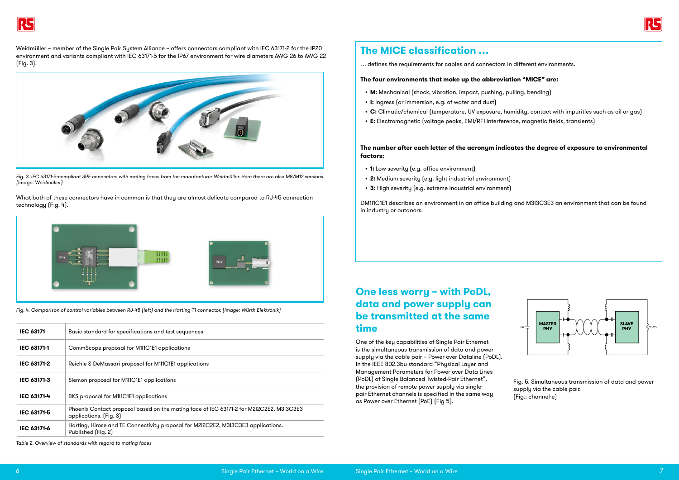Weidmüller – member of the Single Pair System Alliance – offers connectors compliant with IEC 63171-2 for the IP20 environment and variants compliant with IEC 63171-5 for the IP67 environment for wire diameters AWG 26 to AWG 22 (Fig. 3).





*Fig. 3. IEC 63171-5-compliant SPE connectors with mating faces from the manufacturer Weidmüller. Here there are also M8/M12 versions. (Image: Weidmüller)*

What both of these connectors have in common is that they are almost delicate compared to RJ-45 connection technology (Fig. 4).



*Fig. 4. Comparison of control variables between RJ-45 (left) and the Harting T1 connector. (Image: Würth Elektronik)*

| <b>IEC 63171</b>   | Basic standard for specifications and test sequences                                                              |
|--------------------|-------------------------------------------------------------------------------------------------------------------|
| <b>IEC 63171-1</b> | CommScope proposal for M1I1C1E1 applications                                                                      |
| <b>IEC 63171-2</b> | Reichle & DeMassari proposal for M1I1C1E1 applications                                                            |
| <b>IEC 63171-3</b> | Siemon proposal for M1I1C1E1 applications                                                                         |
| IEC 63171-4        | BKS proposal for M111C1E1 applications                                                                            |
| IEC 63171-5        | Phoenix Contact proposal based on the mating face of IEC 63171-2 for M2I2C2E2, M3I3C3E3<br>applications. (Fig. 3) |
| <b>IEC 63171-6</b> | Harting, Hirose and TE Connectivity proposal for M2I2C2E2, M3I3C3E3 applications.<br>Published (Fig. 2)           |

*Table 2. Overview of standards with regard to mating faces*

## **The MICE classification …**

… defines the requirements for cables and connectors in different environments.

### **The four environments that make up the abbreviation "MICE" are:**

- **• M:** Mechanical (shock, vibration, impact, pushing, pulling, bending)
- **• I:** Ingress (or immersion, e.g. of water and dust)
- **• C:** Climatic/chemical (temperature, UV exposure, humidity, contact with impurities such as oil or gas)
- **• E:** Electromagnetic (voltage peaks, EMI/RFI interference, magnetic fields, transients)

### **The number after each letter of the acronym indicates the degree of exposure to environmental factors:**

- **• 1:** Low severity (e.g. office environment)
- **• 2:** Medium severity (e.g. light industrial environment)
- **• 3:** High severity (e.g. extreme industrial environment)

DM1I1C1E1 describes an environment in an office building and M3I3C3E3 an environment that can be found in industry or outdoors.

### **One less worry – with PoDL, data and power supply can be transmitted at the same time**

One of the key capabilities of Single Pair Ethernet is the simultaneous transmission of data and power supply via the cable pair – Power over Dataline (PoDL). In the IEEE 802.3bu standard "Physical Layer and Management Parameters for Power over Data Lines (PoDL) of Single Balanced Twisted-Pair Ethernet", the provision of remote power supply via singlepair Ethernet channels is specified in the same way as Power over Ethernet (PoE) (Fig 5).

Fig. 5. Simultaneous transmission of data and power supply via the cable pair. (Fig.: channel-e)

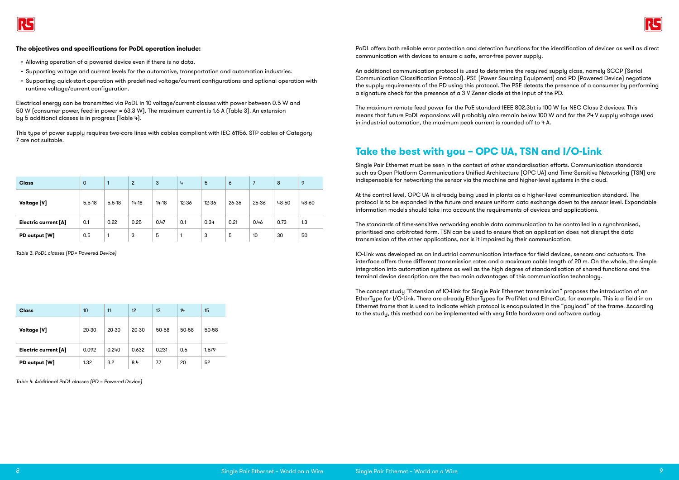

#### **The objectives and specifications for PoDL operation include:**

- Allowing operation of a powered device even if there is no data.
- Supporting voltage and current levels for the automotive, transportation and automation industries.
- Supporting quick-start operation with predefined voltage/current configurations and optional operation with runtime voltage/current configuration.

Electrical energy can be transmitted via PoDL in 10 voltage/current classes with power between 0.5 W and 50 W (consumer power, feed-in power = 63.3 W). The maximum current is 1.6 A (Table 3). An extension by 5 additional classes is in progress (Table 4).

This type of power supply requires two-core lines with cables compliant with IEC 61156. STP cables of Category 7 are not suitable.

PoDL offers both reliable error protection and detection functions for the identification of devices as well as direct communication with devices to ensure a safe, error-free power supply.

An additional communication protocol is used to determine the required supply class, namely SCCP (Serial Communication Classification Protocol). PSE (Power Sourcing Equipment) and PD (Powered Device) negotiate the supply requirements of the PD using this protocol. The PSE detects the presence of a consumer by performing a signature check for the presence of a 3 V Zener diode at the input of the PD.

The maximum remote feed power for the PoE standard IEEE 802.3bt is 100 W for NEC Class 2 devices. This means that future PoDL expansions will probably also remain below 100 W and for the 24 V supply voltage used in industrial automation, the maximum peak current is rounded off to 4 A.

### **Take the best with you – OPC UA, TSN and I/O-Link**

Single Pair Ethernet must be seen in the context of other standardisation efforts. Communication standards such as Open Platform Communications Unified Architecture (OPC UA) and Time-Sensitive Networking (TSN) are indispensable for networking the sensor via the machine and higher-level systems in the cloud.

At the control level, OPC UA is already being used in plants as a higher-level communication standard. The protocol is to be expanded in the future and ensure uniform data exchange down to the sensor level. Expandable information models should take into account the requirements of devices and applications.

The standards of time-sensitive networking enable data communication to be controlled in a synchronised, prioritised and arbitrated form. TSN can be used to ensure that an application does not disrupt the data transmission of the other applications, nor is it impaired by their communication.

IO-Link was developed as an industrial communication interface for field devices, sensors and actuators. The interface offers three different transmission rates and a maximum cable length of 20 m. On the whole, the simple integration into automation systems as well as the high degree of standardisation of shared functions and the terminal device description are the two main advantages of this communication technology.

The concept study "Extension of IO-Link for Single Pair Ethernet transmission" proposes the introduction of an EtherType for I/O-Link. There are already EtherTypes for ProfiNet and EtherCat, for example. This is a field in an Ethernet frame that is used to indicate which protocol is encapsulated in the "payload" of the frame. According to the study, this method can be implemented with very little hardware and software outlay.

| <b>Class</b>         | $\mathbf 0$ | 1          | $\overline{c}$ | 3         | 4     | 5         | $\ddot{\circ}$ | 7     | 8     | 9     |
|----------------------|-------------|------------|----------------|-----------|-------|-----------|----------------|-------|-------|-------|
| <b>Voltage [V]</b>   | $5.5 - 18$  | $5.5 - 18$ | $14 - 18$      | $14 - 18$ | 12-36 | $12 - 36$ | 26-36          | 26-36 | 48-60 | 48-60 |
| Electric current [A] | 0.1         | 0.22       | 0.25           | 0.47      | 0.1   | 0.34      | 0.21           | 0.46  | 0.73  | 1.3   |
| PD output [W]        | 0.5         | 1          | 3              | 5         |       | 3         | 5              | 10    | 30    | 50    |

| <b>Class</b>         | 10    | 11    | 12    | 13    | 14    | 15    |
|----------------------|-------|-------|-------|-------|-------|-------|
| <b>Voltage [V]</b>   | 20-30 | 20-30 | 20-30 | 50-58 | 50-58 | 50-58 |
| Electric current [A] | 0.092 | 0.240 | 0.632 | 0.231 | 0.6   | 1.579 |
| PD output [W]        | 1.32  | 3.2   | 8.4   | 7.7   | 20    | 52    |

*Table 3. PoDL classes (PD= Powered Device)*

*Table 4. Additional PoDL classes (PD = Powered Device)*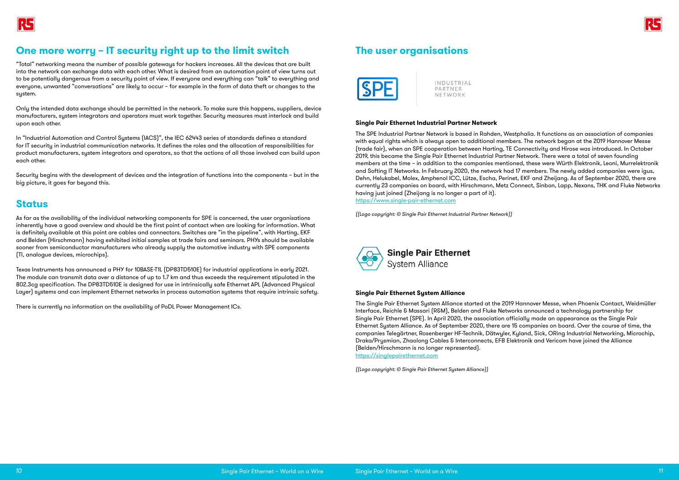

### **One more worry – IT security right up to the limit switch**

"Total" networking means the number of possible gateways for hackers increases. All the devices that are built into the network can exchange data with each other. What is desired from an automation point of view turns out to be potentially dangerous from a security point of view. If everyone and everything can "talk" to everything and everyone, unwanted "conversations" are likely to occur – for example in the form of data theft or changes to the system.

Only the intended data exchange should be permitted in the network. To make sure this happens, suppliers, device manufacturers, system integrators and operators must work together. Security measures must interlock and build upon each other.

In "Industrial Automation and Control Systems (IACS)", the IEC 62443 series of standards defines a standard for IT security in industrial communication networks. It defines the roles and the allocation of responsibilities for product manufacturers, system integrators and operators, so that the actions of all those involved can build upon each other.

Security begins with the development of devices and the integration of functions into the components – but in the big picture, it goes far beyond this.

### **Status**

As far as the availability of the individual networking components for SPE is concerned, the user organisations inherently have a good overview and should be the first point of contact when are looking for information. What is definitely available at this point are cables and connectors. Switches are "in the pipeline", with Harting, EKF and Belden (Hirschmann) having exhibited initial samples at trade fairs and seminars. PHYs should be available sooner from semiconductor manufacturers who already supply the automotive industry with SPE components (TI, analogue devices, microchips).

Texas Instruments has announced a PHY for 10BASE-T1L (DP83TD510E) for industrial applications in early 2021. The module can transmit data over a distance of up to 1.7 km and thus exceeds the requirement stipulated in the 802.3cg specification. The DP83TD510E is designed for use in intrinsically safe Ethernet APL (Advanced Physical Layer) systems and can implement Ethernet networks in process automation systems that require intrinsic safety.

There is currently no information on the availability of PoDL Power Management ICs.

### **The user organisations**



INDUSTRIAL PARTNER NETWORK

#### **Single Pair Ethernet Industrial Partner Network**

The SPE Industrial Partner Network is based in Rahden, Westphalia. It functions as an association of companies with equal rights which is always open to additional members. The network began at the 2019 Hannover Messe (trade fair), when an SPE cooperation between Harting, TE Connectivity and Hirose was introduced. In October 2019, this became the Single Pair Ethernet Industrial Partner Network. There were a total of seven founding members at the time – in addition to the companies mentioned, these were Würth Elektronik, Leoni, Murrelektronik and Softing IT Networks. In February 2020, the network had 17 members. The newly added companies were igus, Dehn, Helukabel, Molex, Amphenol ICC, Lütze, Escha, Perinet, EKF and Zheijang. As of September 2020, there are currently 23 companies on board, with Hirschmann, Metz Connect, Sinbon, Lapp, Nexans, THK and Fluke Networks having just joined (Zheijang is no longer a part of it). https://www.single-pair-ethernet.com

*((Logo copyright: © Single Pair Ethernet Industrial Partner Network))*



#### **Single Pair Ethernet Sustem Alliance**

The Single Pair Ethernet System Alliance started at the 2019 Hannover Messe, when Phoenix Contact, Weidmüller Interface, Reichle & Massari (R&M), Belden and Fluke Networks announced a technology partnership for Single Pair Ethernet (SPE). In April 2020, the association officially made an appearance as the Single Pair Ethernet System Alliance. As of September 2020, there are 15 companies on board. Over the course of time, the companies Telegärtner, Rosenberger HF-Technik, Dätwyler, Kyland, Sick, ORing Industrial Networking, Microchip, Draka/Prysmian, Zhaolong Cables & Interconnects, EFB Elektronik and Vericom have joined the Alliance (Belden/Hirschmann is no longer represented). https://singlepairethernet.com

*((Logo copyright: © Single Pair Ethernet System Alliance))*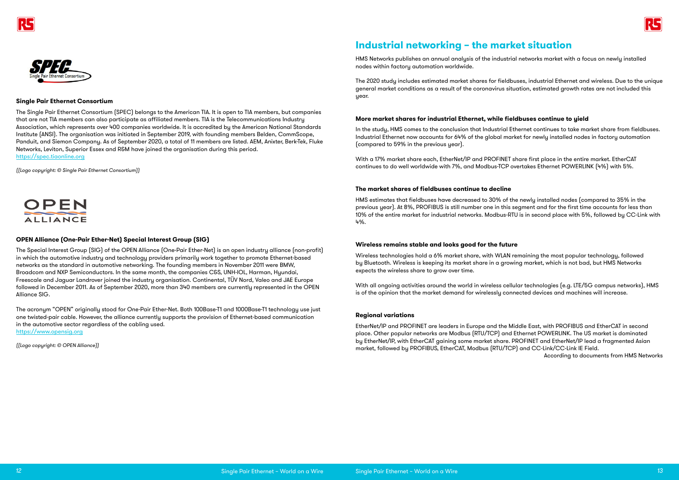



#### **Single Pair Ethernet Consortium**

The Single Pair Ethernet Consortium (SPEC) belongs to the American TIA. It is open to TIA members, but companies that are not TIA members can also participate as affiliated members. TIA is the Telecommunications Industry Association, which represents over 400 companies worldwide. It is accredited by the American National Standards Institute (ANSI). The organisation was initiated in September 2019, with founding members Belden, CommScope, Panduit, and Siemon Company. As of September 2020, a total of 11 members are listed. AEM, Anixter, Berk-Tek, Fluke Networks, Leviton, Superior Essex and R&M have joined the organisation during this period. https://spec.tiaonline.org

*((Logo copyright: © Single Pair Ethernet Consortium))*



#### **OPEN Alliance (One-Pair Ether-Net) Special Interest Group (SIG)**

The Special Interest Group (SIG) of the OPEN Alliance (One-Pair Ether-Net) is an open industry alliance (non-profit) in which the automotive industry and technology providers primarily work together to promote Ethernet-based networks as the standard in automotive networking. The founding members in November 2011 were BMW, Broadcom and NXP Semiconductors. In the same month, the companies C&S, UNH-IOL, Harman, Hyundai, Freescale and Jaguar Landrover joined the industry organisation. Continental, TÜV Nord, Valeo and JAE Europe followed in December 2011. As of September 2020, more than 340 members are currently represented in the OPEN Alliance SIG.

The acronym "OPEN" originally stood for One-Pair Ether-Net. Both 100Base-T1 and 1000Base-T1 technology use just one twisted-pair cable. However, the alliance currently supports the provision of Ethernet-based communication in the automotive sector regardless of the cabling used. https://www.opensig.org

*((Logo copyright: © OPEN Alliance))*

## **Industrial networking – the market situation**

HMS Networks publishes an annual analysis of the industrial networks market with a focus on newly installed nodes within factory automation worldwide.

The 2020 study includes estimated market shares for fieldbuses, industrial Ethernet and wireless. Due to the unique general market conditions as a result of the coronavirus situation, estimated growth rates are not included this year.

### **More market shares for industrial Ethernet, while fieldbuses continue to yield**

In the study, HMS comes to the conclusion that Industrial Ethernet continues to take market share from fieldbuses. Industrial Ethernet now accounts for 64% of the global market for newly installed nodes in factory automation (compared to 59% in the previous year).

With a 17% market share each, EtherNet/IP and PROFINET share first place in the entire market. EtherCAT continues to do well worldwide with 7%, and Modbus-TCP overtakes Ethernet POWERLINK (4%) with 5%.

#### **The market shares of fieldbuses continue to decline**

HMS estimates that fieldbuses have decreased to 30% of the newly installed nodes (compared to 35% in the previous year). At 8%, PROFIBUS is still number one in this segment and for the first time accounts for less than 10% of the entire market for industrial networks. Modbus-RTU is in second place with 5%, followed by CC-Link with 4%.

#### **Wireless remains stable and looks good for the future**

Wireless technologies hold a 6% market share, with WLAN remaining the most popular technology, followed by Bluetooth. Wireless is keeping its market share in a growing market, which is not bad, but HMS Networks expects the wireless share to grow over time.

With all ongoing activities around the world in wireless cellular technologies (e.g. LTE/5G campus networks), HMS is of the opinion that the market demand for wirelessly connected devices and machines will increase.

#### **Regional variations**

EtherNet/IP and PROFINET are leaders in Europe and the Middle East, with PROFIBUS and EtherCAT in second place. Other popular networks are Modbus (RTU/TCP) and Ethernet POWERLINK. The US market is dominated by EtherNet/IP, with EtherCAT gaining some market share. PROFINET and EtherNet/IP lead a fragmented Asian market, followed by PROFIBUS, EtherCAT, Modbus (RTU/TCP) and CC-Link/CC-Link IE Field. According to documents from HMS Networks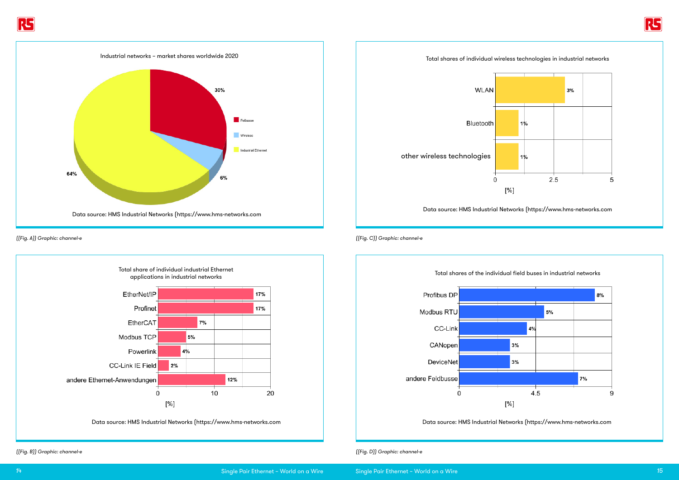

*((Fig. B)) Graphic: channel-e ((Fig. D)) Graphic: channel-e*

Data source: HMS Industrial Networks (https://www.hms-networks.com